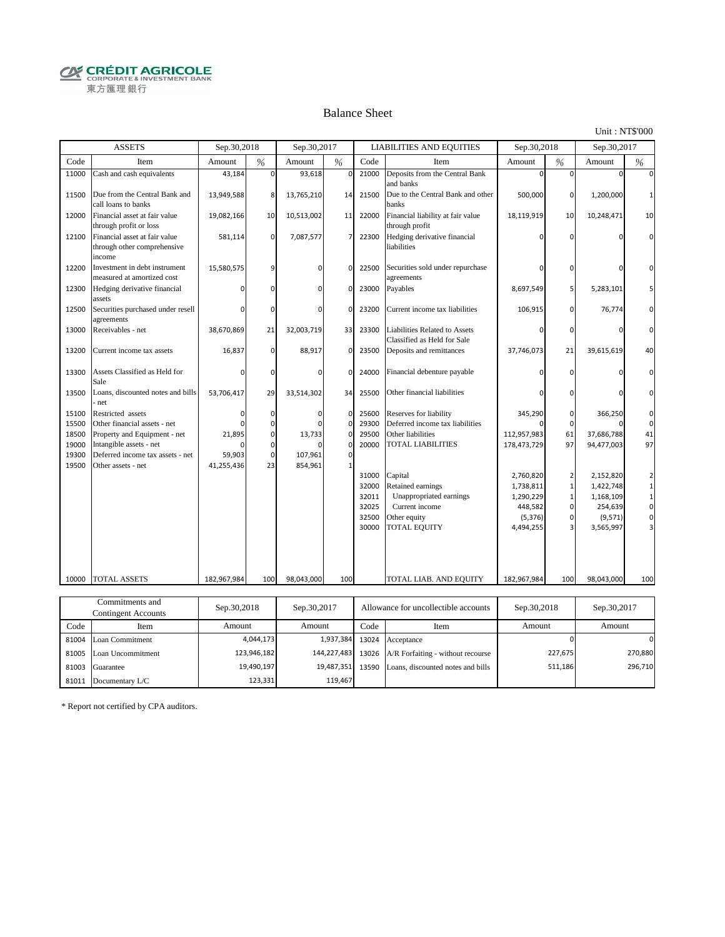**CRÉDIT AGRICOLE** 東方匯理銀行

#### Balance Sheet

Unit : NT\$'000

|                                                    | <b>ASSETS</b>                                                                                                                                                          | Sep.30,2018                                     |                                                                     | Sep.30,2017                                          |                                                                    |                                                                                        | <b>LIABILITIES AND EQUITIES</b>                                                                                                                                                                                         | Sep.30,2018                                                                                                                  |                                                                                   | Sep.30,2017                                                                                                                |                                                                                                                                                  |
|----------------------------------------------------|------------------------------------------------------------------------------------------------------------------------------------------------------------------------|-------------------------------------------------|---------------------------------------------------------------------|------------------------------------------------------|--------------------------------------------------------------------|----------------------------------------------------------------------------------------|-------------------------------------------------------------------------------------------------------------------------------------------------------------------------------------------------------------------------|------------------------------------------------------------------------------------------------------------------------------|-----------------------------------------------------------------------------------|----------------------------------------------------------------------------------------------------------------------------|--------------------------------------------------------------------------------------------------------------------------------------------------|
| Code                                               | Item                                                                                                                                                                   | Amount                                          | %                                                                   | Amount                                               | %                                                                  | Code                                                                                   | Item                                                                                                                                                                                                                    | Amount                                                                                                                       | %                                                                                 | Amount                                                                                                                     | $\%$                                                                                                                                             |
| 11000                                              | Cash and cash equivalents                                                                                                                                              | 43,184                                          | $\overline{0}$                                                      | 93,618                                               | $\mathbf 0$                                                        | 21000                                                                                  | Deposits from the Central Bank<br>and banks                                                                                                                                                                             | $\mathbf 0$                                                                                                                  | $\Omega$                                                                          | $\mathbf 0$                                                                                                                | $\mathbf 0$                                                                                                                                      |
| 11500                                              | Due from the Central Bank and<br>call loans to banks                                                                                                                   | 13,949,588                                      | 8                                                                   | 13,765,210                                           | 14                                                                 | 21500                                                                                  | Due to the Central Bank and other<br>banks                                                                                                                                                                              | 500,000                                                                                                                      | 0                                                                                 | 1,200,000                                                                                                                  | $\mathbf{1}$                                                                                                                                     |
| 12000                                              | Financial asset at fair value<br>through profit or loss                                                                                                                | 19,082,166                                      | 10                                                                  | 10,513,002                                           | 11                                                                 | 22000                                                                                  | Financial liability at fair value<br>through profit                                                                                                                                                                     | 18,119,919                                                                                                                   | 10                                                                                | 10,248,471                                                                                                                 | 10                                                                                                                                               |
| 12100                                              | Financial asset at fair value<br>through other comprehensive<br>income                                                                                                 | 581,114                                         | $\mathbf 0$                                                         | 7,087,577                                            | $\overline{7}$                                                     | 22300                                                                                  | Hedging derivative financial<br>liabilities                                                                                                                                                                             | 0                                                                                                                            | U                                                                                 | $\Omega$                                                                                                                   | $\mathbf 0$                                                                                                                                      |
| 12200                                              | Investment in debt instrument<br>measured at amortized cost                                                                                                            | 15,580,575                                      | 9                                                                   | $\Omega$                                             | $\Omega$                                                           | 22500                                                                                  | Securities sold under repurchase<br>agreements                                                                                                                                                                          | 0                                                                                                                            | ŋ                                                                                 | 0                                                                                                                          | $\Omega$                                                                                                                                         |
| 12300                                              | Hedging derivative financial<br>assets                                                                                                                                 | 0                                               | 0                                                                   | $\Omega$                                             | 0                                                                  | 23000                                                                                  | Payables                                                                                                                                                                                                                | 8,697,549                                                                                                                    | 5                                                                                 | 5,283,101                                                                                                                  | 5                                                                                                                                                |
| 12500                                              | Securities purchased under resell<br>agreements                                                                                                                        |                                                 | $\Omega$                                                            | $\Omega$                                             | $\Omega$                                                           | 23200                                                                                  | Current income tax liabilities                                                                                                                                                                                          | 106,915                                                                                                                      | $\Omega$                                                                          | 76,774                                                                                                                     | $\Omega$                                                                                                                                         |
| 13000                                              | Receivables - net                                                                                                                                                      | 38,670,869                                      | 21                                                                  | 32,003,719                                           | 33                                                                 | 23300                                                                                  | Liabilities Related to Assets<br>Classified as Held for Sale                                                                                                                                                            | 0                                                                                                                            | $\Omega$                                                                          | 0                                                                                                                          | $\mathbf 0$                                                                                                                                      |
| 13200                                              | Current income tax assets                                                                                                                                              | 16,837                                          | $\mathbf 0$                                                         | 88,917                                               | 0                                                                  | 23500                                                                                  | Deposits and remittances                                                                                                                                                                                                | 37,746,073                                                                                                                   | 21                                                                                | 39,615,619                                                                                                                 | 40                                                                                                                                               |
| 13300                                              | Assets Classified as Held for<br>Sale                                                                                                                                  |                                                 | $\mathbf 0$                                                         | $\Omega$                                             | $\mathbf 0$                                                        | 24000                                                                                  | Financial debenture payable                                                                                                                                                                                             |                                                                                                                              | $\Omega$                                                                          |                                                                                                                            | $\mathbf 0$                                                                                                                                      |
| 13500                                              | Loans, discounted notes and bills<br>net                                                                                                                               | 53,706,417                                      | 29                                                                  | 33,514,302                                           | 34                                                                 | 25500                                                                                  | Other financial liabilities                                                                                                                                                                                             | 0                                                                                                                            | ŋ                                                                                 | ŋ                                                                                                                          | $\Omega$                                                                                                                                         |
| 15100<br>15500<br>18500<br>19000<br>19300<br>19500 | Restricted assets<br>Other financial assets - net<br>Property and Equipment - net<br>Intangible assets - net<br>Deferred income tax assets - net<br>Other assets - net | O<br>$\Omega$<br>21,895<br>59,903<br>41,255,436 | 0<br>$\mathbf 0$<br>$\mathbf 0$<br>$\mathbf 0$<br>$\mathbf 0$<br>23 | $\Omega$<br>$\Omega$<br>13,733<br>107,961<br>854,961 | $\mathbf 0$<br>$\mathbf 0$<br>$\mathbf 0$<br>0<br>$\mathbf 0$<br>1 | 25600<br>29300<br>29500<br>20000<br>31000<br>32000<br>32011<br>32025<br>32500<br>30000 | Reserves for liability<br>Deferred income tax liabilities<br>Other liabilities<br><b>TOTAL LIABILITIES</b><br>Capital<br>Retained earnings<br>Unappropriated earnings<br>Current income<br>Other equity<br>TOTAL EQUITY | 345,290<br>$\Omega$<br>112,957,983<br>178,473,729<br>2,760,820<br>1,738,811<br>1,290,229<br>448,582<br>(5, 376)<br>4,494,255 | 0<br>$\mathbf 0$<br>61<br>97<br>2<br>$\mathbf{1}$<br>1<br>$\Omega$<br>$\mathbf 0$ | 366,250<br>$\Omega$<br>37,686,788<br>94,477,003<br>2,152,820<br>1,422,748<br>1,168,109<br>254,639<br>(9, 571)<br>3,565,997 | $\mathbf 0$<br>$\mathbf 0$<br>41<br>97<br>$\overline{2}$<br>$\mathbf{1}$<br>$\mathbf 1$<br>$\mathbf 0$<br>$\mathbf 0$<br>$\overline{\mathbf{3}}$ |
| 10000                                              | TOTAL ASSETS                                                                                                                                                           | 182.967.984                                     | 100                                                                 | 98.043.000                                           | 100                                                                |                                                                                        | TOTAL LIAB. AND EQUITY                                                                                                                                                                                                  | 182.967.984                                                                                                                  | 100                                                                               | 98.043.000                                                                                                                 | 100                                                                                                                                              |
|                                                    | Commitments and<br>Contingent Accounts                                                                                                                                 | Sep.30,2018                                     |                                                                     | Sep.30,2017                                          |                                                                    |                                                                                        | Allowance for uncollectible accounts                                                                                                                                                                                    | Sep.30,2018                                                                                                                  |                                                                                   | Sep.30,2017                                                                                                                |                                                                                                                                                  |
| $C_{\alpha}$ da                                    | $T_{\text{f}}$                                                                                                                                                         | $A$ mount                                       |                                                                     | $A$ mount                                            |                                                                    | $C_{\alpha}$ da                                                                        | $T_{\text{f}}$                                                                                                                                                                                                          | $A$ mount                                                                                                                    |                                                                                   | $A$ mount                                                                                                                  |                                                                                                                                                  |

|       | Contingent Accounts     | Sep. 30, 2018 | Sep. 30, 2017 | Allowance for uncollectible accounts |                                                     | Step.30,2018 | Step.30, 201/ |
|-------|-------------------------|---------------|---------------|--------------------------------------|-----------------------------------------------------|--------------|---------------|
| Code  | Item                    | Amount        | Amount        | Code                                 | Item                                                | Amount       | Amount        |
|       | 81004 Loan Commitment   | 4,044,173     |               |                                      | 1,937,384 13024 Acceptance                          |              | 0             |
|       | 81005 Loan Uncommitment | 123,946,182   |               |                                      | 144,227,483 13026 A/R Forfaiting - without recourse | 227,675      | 270,880       |
| 81003 | Guarantee               | 19,490,197    | 19,487,351    |                                      | 13590 Loans, discounted notes and bills             | 511,186      | 296,710       |
| 81011 | Documentary L/C         | 123,331       | 119,467       |                                      |                                                     |              |               |

\* Report not certified by CPA auditors.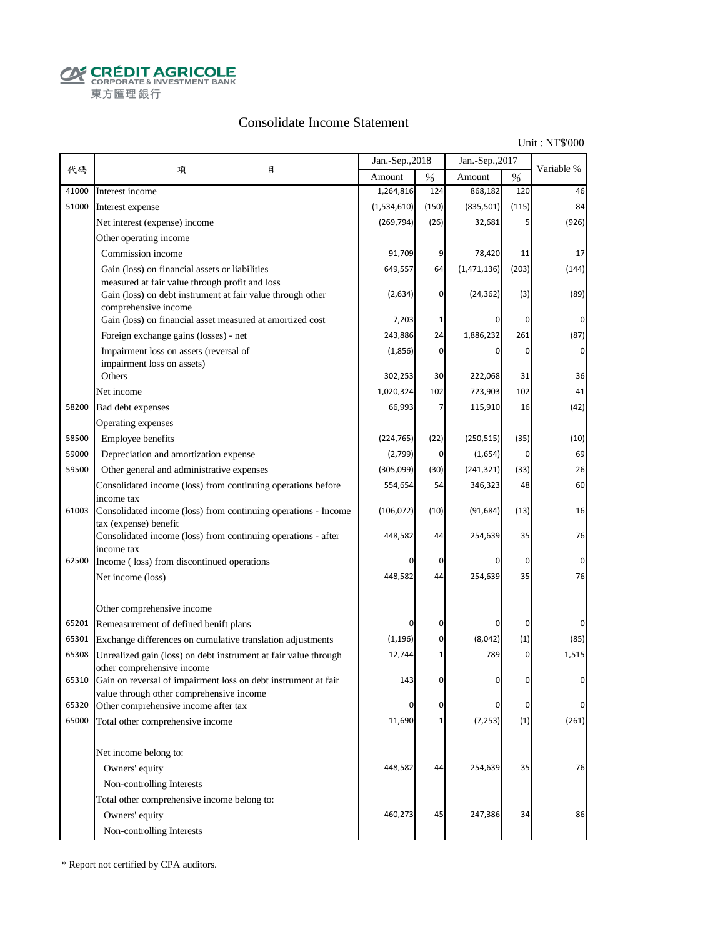**CRÉDIT AGRICOLE** 東方匯理銀行

### Consolidate Income Statement

Unit : NT\$'000

|       |                                                                                   | Jan.-Sep., 2018 |              | Jan.-Sep., 2017 |             |             |
|-------|-----------------------------------------------------------------------------------|-----------------|--------------|-----------------|-------------|-------------|
| 代碼    | 目<br>項                                                                            | Amount          | $\%$         | Amount          | $\%$        | Variable %  |
| 41000 | Interest income                                                                   | 1,264,816       | 124          | 868,182         | 120         | 46          |
| 51000 | Interest expense                                                                  | (1,534,610)     | (150)        | (835, 501)      | (115)       | 84          |
|       | Net interest (expense) income                                                     | (269, 794)      | (26)         | 32,681          | 5           | (926)       |
|       | Other operating income                                                            |                 |              |                 |             |             |
|       | Commission income                                                                 | 91,709          | 9            | 78,420          | 11          | 17          |
|       | Gain (loss) on financial assets or liabilities                                    | 649,557         | 64           | (1,471,136)     | (203)       | (144)       |
|       | measured at fair value through profit and loss                                    |                 |              |                 |             |             |
|       | Gain (loss) on debt instrument at fair value through other                        | (2,634)         | 0            | (24, 362)       | (3)         | (89)        |
|       | comprehensive income<br>Gain (loss) on financial asset measured at amortized cost | 7,203           | 1            | 0               | $\mathbf 0$ | 0           |
|       | Foreign exchange gains (losses) - net                                             | 243,886         | 24           | 1,886,232       | 261         | (87)        |
|       | Impairment loss on assets (reversal of                                            | (1,856)         | 0            | $\mathbf 0$     | $\mathbf 0$ | $\mathbf 0$ |
|       | impairment loss on assets)                                                        |                 |              |                 |             |             |
|       | Others                                                                            | 302,253         | 30           | 222,068         | 31          | 36          |
|       | Net income                                                                        | 1,020,324       | 102          | 723,903         | 102         | 41          |
| 58200 | Bad debt expenses                                                                 | 66,993          | 7            | 115,910         | 16          | (42)        |
|       | Operating expenses                                                                |                 |              |                 |             |             |
| 58500 | Employee benefits                                                                 | (224, 765)      | (22)         | (250, 515)      | (35)        | (10)        |
| 59000 | Depreciation and amortization expense                                             | (2,799)         | 0            | (1,654)         | $\mathbf 0$ | 69          |
| 59500 | Other general and administrative expenses                                         | (305,099)       | (30)         | (241, 321)      | (33)        | 26          |
|       | Consolidated income (loss) from continuing operations before                      | 554,654         | 54           | 346,323         | 48          | 60          |
|       | income tax                                                                        |                 |              |                 |             |             |
| 61003 | Consolidated income (loss) from continuing operations - Income                    | (106, 072)      | (10)         | (91, 684)       | (13)        | 16          |
|       | tax (expense) benefit                                                             |                 |              |                 |             |             |
|       | Consolidated income (loss) from continuing operations - after<br>income tax       | 448,582         | 44           | 254,639         | 35          | 76          |
| 62500 | Income (loss) from discontinued operations                                        |                 | 0            | 0               | $\mathbf 0$ | 0           |
|       | Net income (loss)                                                                 | 448,582         | 44           | 254,639         | 35          | 76          |
|       |                                                                                   |                 |              |                 |             |             |
|       | Other comprehensive income                                                        |                 |              |                 |             |             |
|       | 65201 Remeasurement of defined benift plans                                       | 0               | 0            | 0               | $\mathbf 0$ | 0           |
|       | 65301 Exchange differences on cumulative translation adjustments                  | (1, 196)        | $\mathbf 0$  | (8,042)         | (1)         | (85)        |
| 65308 | Unrealized gain (loss) on debt instrument at fair value through                   | 12,744          | 1            | 789             | 0           | 1,515       |
|       | other comprehensive income                                                        |                 |              |                 |             |             |
|       | 65310 Gain on reversal of impairment loss on debt instrument at fair              | 143             | 0            | 0               | 0           | 0           |
| 65320 | value through other comprehensive income<br>Other comprehensive income after tax  | 0               | 0            | 0               | $\mathbf 0$ | 0           |
| 65000 | Total other comprehensive income                                                  | 11,690          | $\mathbf{1}$ | (7, 253)        | (1)         | (261)       |
|       |                                                                                   |                 |              |                 |             |             |
|       | Net income belong to:                                                             |                 |              |                 |             |             |
|       | Owners' equity                                                                    | 448,582         | 44           | 254,639         | 35          | 76          |
|       | Non-controlling Interests                                                         |                 |              |                 |             |             |
|       |                                                                                   |                 |              |                 |             |             |
|       | Total other comprehensive income belong to:                                       |                 |              |                 |             |             |
|       | Owners' equity                                                                    | 460,273         | 45           | 247,386         | 34          | 86          |
|       | Non-controlling Interests                                                         |                 |              |                 |             |             |

\* Report not certified by CPA auditors.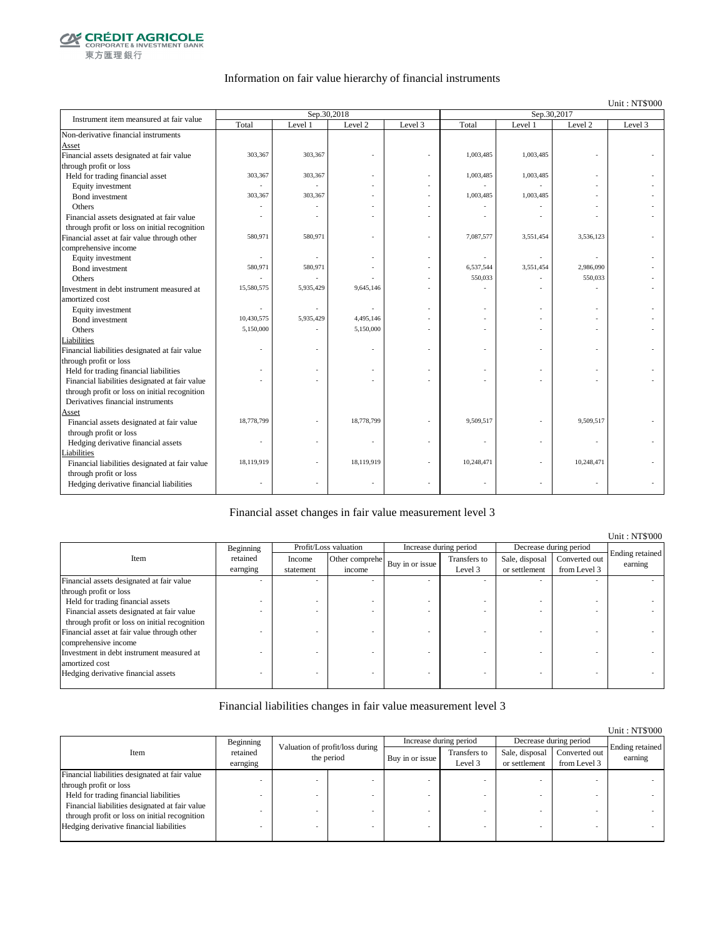

### Information on fair value hierarchy of financial instruments

Unit : NT\$'000

| Total<br>Level 1<br>Level 2<br>Level 3<br>Total<br>Level 2<br>Level 3<br>Level 1<br>303,367<br>303,367<br>1,003,485<br>1,003,485<br>303,367<br>303,367<br>1,003,485<br>1,003,485<br>Held for trading financial asset<br>Equity investment<br>1,003,485<br>303,367<br>303,367<br>1,003,485<br>Bond investment<br>Others<br>Financial assets designated at fair value<br>through profit or loss on initial recognition<br>7,087,577<br>580,971<br>580,971<br>3,551,454<br>3,536,123<br>Equity investment<br>580,971<br>580,971<br>6,537,544<br>3,551,454<br>2,986,090<br>Bond investment<br>550,033<br>550,033<br>Others<br>9,645,146<br>15,580,575<br>5,935,429<br>Equity investment<br>Bond investment<br>10,430,575<br>4,495,146<br>5,935,429<br>5,150,000<br>5,150,000<br>Others<br>Liabilities<br>Financial liabilities designated at fair value<br>$\overline{\phantom{a}}$<br>through profit or loss<br>Held for trading financial liabilities<br>Financial liabilities designated at fair value<br>through profit or loss on initial recognition<br>Derivatives financial instruments<br>Asset<br>Financial assets designated at fair value<br>18,778,799<br>18,778,799<br>9,509,517<br>9,509,517<br>through profit or loss<br>Hedging derivative financial assets<br><b>Liabilities</b><br>18,119,919<br>18,119,919<br>10,248,471<br>10,248,471<br>Financial liabilities designated at fair value<br>through profit or loss<br>٠ | Instrument item meansured at fair value     | Sep.30,2018 |  | Sep.30,2017 |  |  |  |
|-----------------------------------------------------------------------------------------------------------------------------------------------------------------------------------------------------------------------------------------------------------------------------------------------------------------------------------------------------------------------------------------------------------------------------------------------------------------------------------------------------------------------------------------------------------------------------------------------------------------------------------------------------------------------------------------------------------------------------------------------------------------------------------------------------------------------------------------------------------------------------------------------------------------------------------------------------------------------------------------------------------------------------------------------------------------------------------------------------------------------------------------------------------------------------------------------------------------------------------------------------------------------------------------------------------------------------------------------------------------------------------------------------------------------------------------|---------------------------------------------|-------------|--|-------------|--|--|--|
|                                                                                                                                                                                                                                                                                                                                                                                                                                                                                                                                                                                                                                                                                                                                                                                                                                                                                                                                                                                                                                                                                                                                                                                                                                                                                                                                                                                                                                         |                                             |             |  |             |  |  |  |
|                                                                                                                                                                                                                                                                                                                                                                                                                                                                                                                                                                                                                                                                                                                                                                                                                                                                                                                                                                                                                                                                                                                                                                                                                                                                                                                                                                                                                                         | Non-derivative financial instruments        |             |  |             |  |  |  |
|                                                                                                                                                                                                                                                                                                                                                                                                                                                                                                                                                                                                                                                                                                                                                                                                                                                                                                                                                                                                                                                                                                                                                                                                                                                                                                                                                                                                                                         | Asset                                       |             |  |             |  |  |  |
|                                                                                                                                                                                                                                                                                                                                                                                                                                                                                                                                                                                                                                                                                                                                                                                                                                                                                                                                                                                                                                                                                                                                                                                                                                                                                                                                                                                                                                         | Financial assets designated at fair value   |             |  |             |  |  |  |
|                                                                                                                                                                                                                                                                                                                                                                                                                                                                                                                                                                                                                                                                                                                                                                                                                                                                                                                                                                                                                                                                                                                                                                                                                                                                                                                                                                                                                                         | through profit or loss                      |             |  |             |  |  |  |
|                                                                                                                                                                                                                                                                                                                                                                                                                                                                                                                                                                                                                                                                                                                                                                                                                                                                                                                                                                                                                                                                                                                                                                                                                                                                                                                                                                                                                                         |                                             |             |  |             |  |  |  |
|                                                                                                                                                                                                                                                                                                                                                                                                                                                                                                                                                                                                                                                                                                                                                                                                                                                                                                                                                                                                                                                                                                                                                                                                                                                                                                                                                                                                                                         |                                             |             |  |             |  |  |  |
|                                                                                                                                                                                                                                                                                                                                                                                                                                                                                                                                                                                                                                                                                                                                                                                                                                                                                                                                                                                                                                                                                                                                                                                                                                                                                                                                                                                                                                         |                                             |             |  |             |  |  |  |
|                                                                                                                                                                                                                                                                                                                                                                                                                                                                                                                                                                                                                                                                                                                                                                                                                                                                                                                                                                                                                                                                                                                                                                                                                                                                                                                                                                                                                                         |                                             |             |  |             |  |  |  |
|                                                                                                                                                                                                                                                                                                                                                                                                                                                                                                                                                                                                                                                                                                                                                                                                                                                                                                                                                                                                                                                                                                                                                                                                                                                                                                                                                                                                                                         |                                             |             |  |             |  |  |  |
|                                                                                                                                                                                                                                                                                                                                                                                                                                                                                                                                                                                                                                                                                                                                                                                                                                                                                                                                                                                                                                                                                                                                                                                                                                                                                                                                                                                                                                         |                                             |             |  |             |  |  |  |
|                                                                                                                                                                                                                                                                                                                                                                                                                                                                                                                                                                                                                                                                                                                                                                                                                                                                                                                                                                                                                                                                                                                                                                                                                                                                                                                                                                                                                                         | Financial asset at fair value through other |             |  |             |  |  |  |
|                                                                                                                                                                                                                                                                                                                                                                                                                                                                                                                                                                                                                                                                                                                                                                                                                                                                                                                                                                                                                                                                                                                                                                                                                                                                                                                                                                                                                                         | comprehensive income                        |             |  |             |  |  |  |
|                                                                                                                                                                                                                                                                                                                                                                                                                                                                                                                                                                                                                                                                                                                                                                                                                                                                                                                                                                                                                                                                                                                                                                                                                                                                                                                                                                                                                                         |                                             |             |  |             |  |  |  |
|                                                                                                                                                                                                                                                                                                                                                                                                                                                                                                                                                                                                                                                                                                                                                                                                                                                                                                                                                                                                                                                                                                                                                                                                                                                                                                                                                                                                                                         |                                             |             |  |             |  |  |  |
|                                                                                                                                                                                                                                                                                                                                                                                                                                                                                                                                                                                                                                                                                                                                                                                                                                                                                                                                                                                                                                                                                                                                                                                                                                                                                                                                                                                                                                         |                                             |             |  |             |  |  |  |
|                                                                                                                                                                                                                                                                                                                                                                                                                                                                                                                                                                                                                                                                                                                                                                                                                                                                                                                                                                                                                                                                                                                                                                                                                                                                                                                                                                                                                                         | Investment in debt instrument measured at   |             |  |             |  |  |  |
|                                                                                                                                                                                                                                                                                                                                                                                                                                                                                                                                                                                                                                                                                                                                                                                                                                                                                                                                                                                                                                                                                                                                                                                                                                                                                                                                                                                                                                         | amortized cost                              |             |  |             |  |  |  |
|                                                                                                                                                                                                                                                                                                                                                                                                                                                                                                                                                                                                                                                                                                                                                                                                                                                                                                                                                                                                                                                                                                                                                                                                                                                                                                                                                                                                                                         |                                             |             |  |             |  |  |  |
|                                                                                                                                                                                                                                                                                                                                                                                                                                                                                                                                                                                                                                                                                                                                                                                                                                                                                                                                                                                                                                                                                                                                                                                                                                                                                                                                                                                                                                         |                                             |             |  |             |  |  |  |
|                                                                                                                                                                                                                                                                                                                                                                                                                                                                                                                                                                                                                                                                                                                                                                                                                                                                                                                                                                                                                                                                                                                                                                                                                                                                                                                                                                                                                                         |                                             |             |  |             |  |  |  |
|                                                                                                                                                                                                                                                                                                                                                                                                                                                                                                                                                                                                                                                                                                                                                                                                                                                                                                                                                                                                                                                                                                                                                                                                                                                                                                                                                                                                                                         |                                             |             |  |             |  |  |  |
|                                                                                                                                                                                                                                                                                                                                                                                                                                                                                                                                                                                                                                                                                                                                                                                                                                                                                                                                                                                                                                                                                                                                                                                                                                                                                                                                                                                                                                         |                                             |             |  |             |  |  |  |
|                                                                                                                                                                                                                                                                                                                                                                                                                                                                                                                                                                                                                                                                                                                                                                                                                                                                                                                                                                                                                                                                                                                                                                                                                                                                                                                                                                                                                                         |                                             |             |  |             |  |  |  |
|                                                                                                                                                                                                                                                                                                                                                                                                                                                                                                                                                                                                                                                                                                                                                                                                                                                                                                                                                                                                                                                                                                                                                                                                                                                                                                                                                                                                                                         |                                             |             |  |             |  |  |  |
|                                                                                                                                                                                                                                                                                                                                                                                                                                                                                                                                                                                                                                                                                                                                                                                                                                                                                                                                                                                                                                                                                                                                                                                                                                                                                                                                                                                                                                         |                                             |             |  |             |  |  |  |
|                                                                                                                                                                                                                                                                                                                                                                                                                                                                                                                                                                                                                                                                                                                                                                                                                                                                                                                                                                                                                                                                                                                                                                                                                                                                                                                                                                                                                                         |                                             |             |  |             |  |  |  |
|                                                                                                                                                                                                                                                                                                                                                                                                                                                                                                                                                                                                                                                                                                                                                                                                                                                                                                                                                                                                                                                                                                                                                                                                                                                                                                                                                                                                                                         |                                             |             |  |             |  |  |  |
|                                                                                                                                                                                                                                                                                                                                                                                                                                                                                                                                                                                                                                                                                                                                                                                                                                                                                                                                                                                                                                                                                                                                                                                                                                                                                                                                                                                                                                         |                                             |             |  |             |  |  |  |
|                                                                                                                                                                                                                                                                                                                                                                                                                                                                                                                                                                                                                                                                                                                                                                                                                                                                                                                                                                                                                                                                                                                                                                                                                                                                                                                                                                                                                                         |                                             |             |  |             |  |  |  |
|                                                                                                                                                                                                                                                                                                                                                                                                                                                                                                                                                                                                                                                                                                                                                                                                                                                                                                                                                                                                                                                                                                                                                                                                                                                                                                                                                                                                                                         |                                             |             |  |             |  |  |  |
|                                                                                                                                                                                                                                                                                                                                                                                                                                                                                                                                                                                                                                                                                                                                                                                                                                                                                                                                                                                                                                                                                                                                                                                                                                                                                                                                                                                                                                         |                                             |             |  |             |  |  |  |
|                                                                                                                                                                                                                                                                                                                                                                                                                                                                                                                                                                                                                                                                                                                                                                                                                                                                                                                                                                                                                                                                                                                                                                                                                                                                                                                                                                                                                                         |                                             |             |  |             |  |  |  |
|                                                                                                                                                                                                                                                                                                                                                                                                                                                                                                                                                                                                                                                                                                                                                                                                                                                                                                                                                                                                                                                                                                                                                                                                                                                                                                                                                                                                                                         |                                             |             |  |             |  |  |  |
|                                                                                                                                                                                                                                                                                                                                                                                                                                                                                                                                                                                                                                                                                                                                                                                                                                                                                                                                                                                                                                                                                                                                                                                                                                                                                                                                                                                                                                         |                                             |             |  |             |  |  |  |
|                                                                                                                                                                                                                                                                                                                                                                                                                                                                                                                                                                                                                                                                                                                                                                                                                                                                                                                                                                                                                                                                                                                                                                                                                                                                                                                                                                                                                                         | Hedging derivative financial liabilities    |             |  |             |  |  |  |

#### Financial asset changes in fair value measurement level 3

|                                               |           |                       |                |                 |                        |                |                        | Unit: NT\$'000             |
|-----------------------------------------------|-----------|-----------------------|----------------|-----------------|------------------------|----------------|------------------------|----------------------------|
|                                               | Beginning | Profit/Loss valuation |                |                 | Increase during period |                | Decrease during period |                            |
| Item                                          | retained  | Income                | Other comprehe | Buy in or issue | Transfers to           | Sale, disposal | Converted out          | Ending retained<br>earning |
|                                               | earnging  | statement             | income         |                 | Level 3                | or settlement  | from Level 3           |                            |
| Financial assets designated at fair value     |           |                       |                |                 |                        |                |                        |                            |
| through profit or loss                        |           |                       |                |                 |                        |                |                        |                            |
| Held for trading financial assets             |           |                       |                |                 |                        |                |                        |                            |
| Financial assets designated at fair value     |           |                       |                |                 |                        |                |                        |                            |
| through profit or loss on initial recognition |           |                       |                |                 |                        |                |                        |                            |
| Financial asset at fair value through other   |           |                       |                |                 |                        |                |                        |                            |
| comprehensive income                          |           |                       |                |                 |                        |                |                        |                            |
| Investment in debt instrument measured at     |           |                       |                |                 |                        |                |                        |                            |
| amortized cost                                |           |                       |                |                 |                        |                |                        |                            |
| Hedging derivative financial assets           |           |                       |                |                 |                        |                |                        |                            |
|                                               |           |                       |                |                 |                        |                |                        |                            |

### Financial liabilities changes in fair value measurement level 3

|                                                |                      |                                                                  |  |                         |                                 |                               | Unit: NT\$'000             |
|------------------------------------------------|----------------------|------------------------------------------------------------------|--|-------------------------|---------------------------------|-------------------------------|----------------------------|
|                                                | Beginning            |                                                                  |  | Increase during period  |                                 | Decrease during period        |                            |
| Item                                           | retained<br>earnging | Valuation of profit/loss during<br>the period<br>Buy in or issue |  | Transfers to<br>Level 3 | Sale, disposal<br>or settlement | Converted out<br>from Level 3 | Ending retained<br>earning |
| Financial liabilities designated at fair value |                      |                                                                  |  |                         |                                 |                               |                            |
| through profit or loss                         |                      |                                                                  |  |                         |                                 |                               |                            |
| Held for trading financial liabilities         |                      |                                                                  |  |                         |                                 |                               |                            |
| Financial liabilities designated at fair value |                      |                                                                  |  |                         |                                 |                               |                            |
| through profit or loss on initial recognition  |                      |                                                                  |  |                         |                                 |                               |                            |
| Hedging derivative financial liabilities       |                      |                                                                  |  |                         |                                 |                               |                            |
|                                                |                      |                                                                  |  |                         |                                 |                               |                            |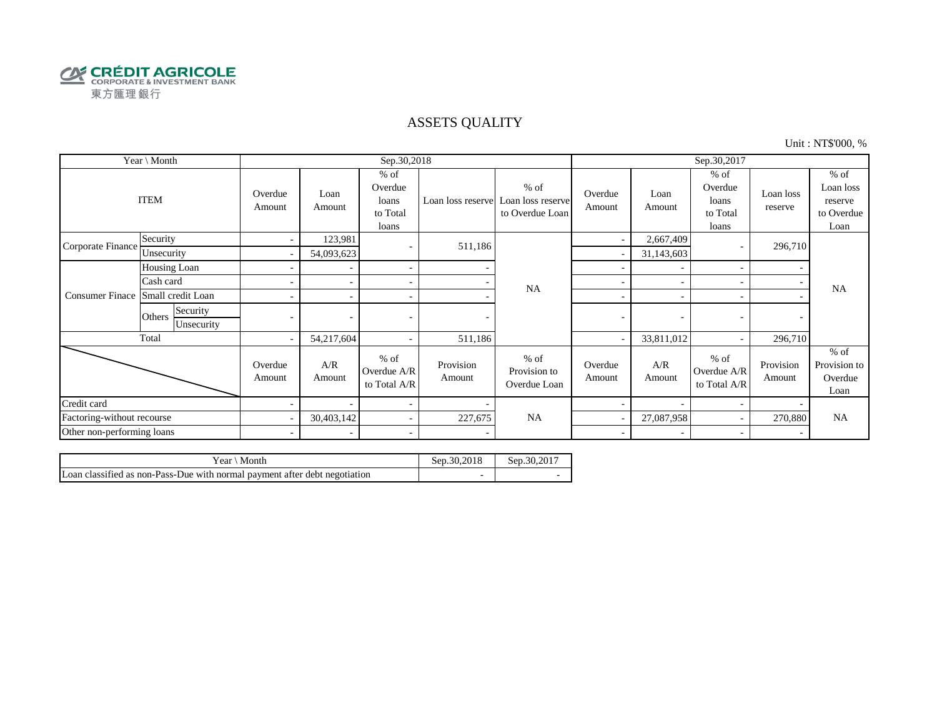

## ASSETS QUALITY

Unit : NT\$'000, %

| Year \ Month               |                                  |                          |                | Sep.30,2018                                     |                     |                                                                  | Sep.30,2017       |                |                                                 |                      |                                                      |
|----------------------------|----------------------------------|--------------------------|----------------|-------------------------------------------------|---------------------|------------------------------------------------------------------|-------------------|----------------|-------------------------------------------------|----------------------|------------------------------------------------------|
|                            | <b>ITEM</b>                      | Overdue<br>Amount        | Loan<br>Amount | $%$ of<br>Overdue<br>loans<br>to Total<br>loans |                     | $%$ of<br>Loan loss reserve Loan loss reserve<br>to Overdue Loan | Overdue<br>Amount | Loan<br>Amount | $%$ of<br>Overdue<br>loans<br>to Total<br>loans | Loan loss<br>reserve | $%$ of<br>Loan loss<br>reserve<br>to Overdue<br>Loan |
| Corporate Finance          | Security                         | $\overline{\phantom{a}}$ | 123,981        | $\overline{\phantom{a}}$                        | 511,186             |                                                                  | ٠                 | 2,667,409      |                                                 | 296,710              |                                                      |
|                            | Unsecurity                       |                          | 54,093,623     |                                                 |                     |                                                                  |                   | 31,143,603     |                                                 |                      |                                                      |
|                            | Housing Loan                     |                          |                | $\overline{\phantom{a}}$                        |                     |                                                                  |                   |                |                                                 |                      |                                                      |
|                            | Cash card                        |                          |                | $\sim$                                          |                     | <b>NA</b>                                                        | ÷                 |                |                                                 |                      | <b>NA</b>                                            |
| <b>Consumer Finace</b>     | Small credit Loan                |                          |                | $\sim$                                          |                     |                                                                  | ۰                 |                |                                                 |                      |                                                      |
|                            | Security<br>Others<br>Unsecurity |                          |                |                                                 |                     |                                                                  | -                 | ٠              |                                                 |                      |                                                      |
|                            | Total                            | $\sim$                   | 54,217,604     | $\sim$                                          | 511,186             |                                                                  |                   | 33,811,012     |                                                 | 296,710              |                                                      |
|                            |                                  | Overdue<br>Amount        | A/R<br>Amount  | $%$ of<br>Overdue A/R<br>to Total A/R           | Provision<br>Amount | $%$ of<br>Provision to<br>Overdue Loan                           | Overdue<br>Amount | A/R<br>Amount  | $%$ of<br>Overdue A/R<br>to Total A/R           | Provision<br>Amount  | $%$ of<br>Provision to<br>Overdue<br>Loan            |
| Credit card                |                                  |                          |                | $\overline{\phantom{a}}$                        |                     |                                                                  |                   |                |                                                 |                      |                                                      |
| Factoring-without recourse |                                  |                          | 30,403,142     | $\sim$                                          | 227,675             | <b>NA</b>                                                        |                   | 27,087,958     |                                                 | 270,880              | <b>NA</b>                                            |
| Other non-performing loans |                                  | $\sim$                   |                | $\sim$                                          |                     |                                                                  | $\sim$            |                |                                                 |                      |                                                      |

| Vear ∖ Month                                                               | Sep.30.2018 | Sep.30.2017 |
|----------------------------------------------------------------------------|-------------|-------------|
| Loan classified as non-Pass-Due with normal payment after debt negotiation |             |             |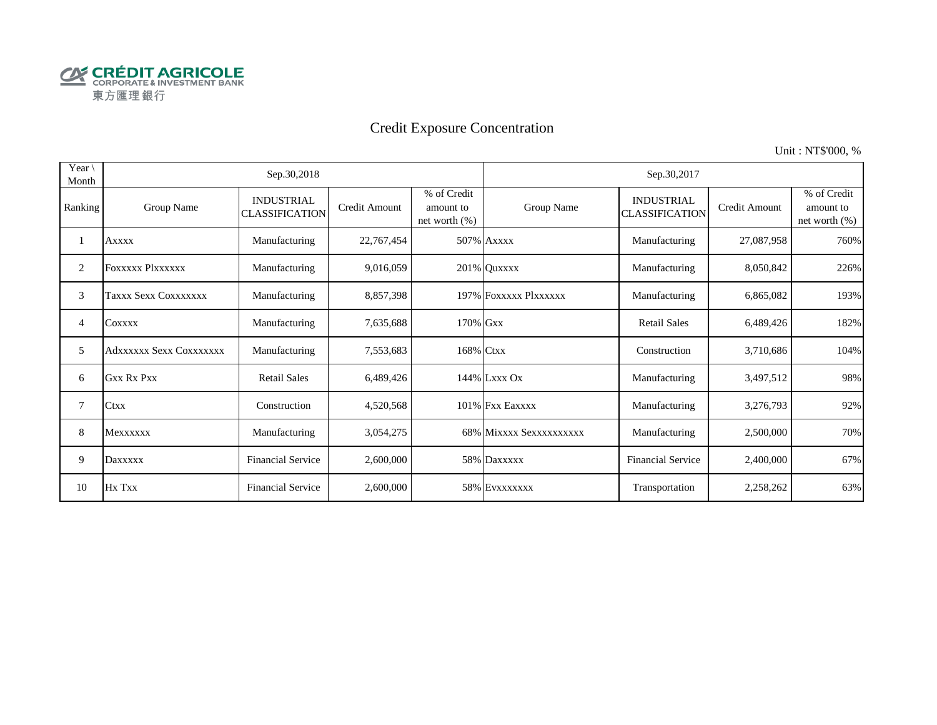

# Credit Exposure Concentration

Unit : NT\$'000, %

| Year \<br>Month |                         | Sep.30,2018                                |               |                                               | Sep.30,2017             |                                            |               |                                              |  |  |  |
|-----------------|-------------------------|--------------------------------------------|---------------|-----------------------------------------------|-------------------------|--------------------------------------------|---------------|----------------------------------------------|--|--|--|
| Ranking         | Group Name              | <b>INDUSTRIAL</b><br><b>CLASSIFICATION</b> | Credit Amount | % of Credit<br>amount to<br>net worth $(\% )$ | Group Name              | <b>INDUSTRIAL</b><br><b>CLASSIFICATION</b> | Credit Amount | % of Credit<br>amount to<br>net worth $(\%)$ |  |  |  |
|                 | <b>Axxxx</b>            | Manufacturing                              | 22,767,454    |                                               | 507% Axxxx              | Manufacturing                              | 27,087,958    | 760%                                         |  |  |  |
| 2               | <b>FOXXXXX PIXXXXXX</b> | Manufacturing                              | 9,016,059     |                                               | 201% Quxxxx             | Manufacturing                              | 8,050,842     | 226%                                         |  |  |  |
| 3               | Taxxx Sexx Coxxxxxxx    | Manufacturing                              | 8,857,398     |                                               | 197% FOXXXXX PlXXXXXX   | Manufacturing                              | 6,865,082     | 193%                                         |  |  |  |
| 4               | COXXXX                  | Manufacturing                              | 7,635,688     | 170% Gxx                                      |                         | <b>Retail Sales</b>                        | 6,489,426     | 182%                                         |  |  |  |
| 5               | Adxxxxxx Sexx Coxxxxxxx | Manufacturing                              | 7,553,683     | 168% Ctxx                                     |                         | Construction                               | 3,710,686     | 104%                                         |  |  |  |
| 6               | <b>Gxx Rx Pxx</b>       | <b>Retail Sales</b>                        | 6,489,426     |                                               | 144% Lxxx Ox            | Manufacturing                              | 3,497,512     | 98%                                          |  |  |  |
| 7               | Ctxx                    | Construction                               | 4,520,568     |                                               | 101% Fxx Eaxxxx         | Manufacturing                              | 3,276,793     | 92%                                          |  |  |  |
| 8               | Mexxxxxx                | Manufacturing                              | 3,054,275     |                                               | 68% Mixxxx Sexxxxxxxxxx | Manufacturing                              | 2,500,000     | 70%                                          |  |  |  |
| 9               | Daxxxxx                 | <b>Financial Service</b>                   | 2,600,000     |                                               | 58% Daxxxxx             | <b>Financial Service</b>                   | 2,400,000     | 67%                                          |  |  |  |
| 10              | Hx Txx                  | <b>Financial Service</b>                   | 2,600,000     |                                               | 58% EVXXXXXXX           | Transportation                             | 2,258,262     | 63%                                          |  |  |  |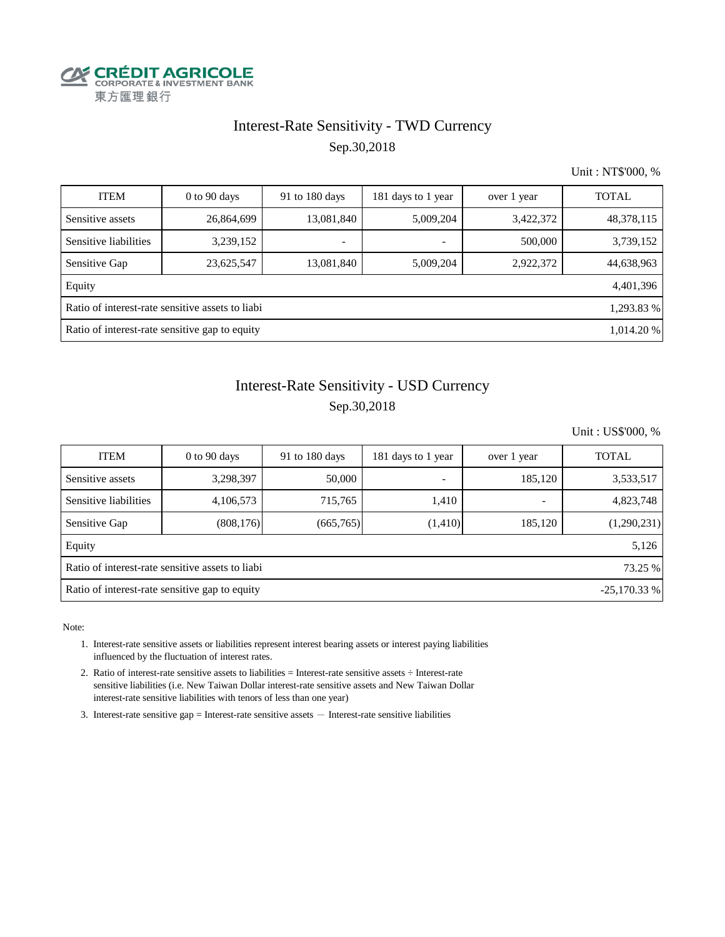

## Interest-Rate Sensitivity - TWD Currency Sep.30,2018

Unit : NT\$'000, %

| <b>ITEM</b>                                                    | $0$ to 90 days | 91 to 180 days | 181 days to 1 year       | over 1 year | <b>TOTAL</b> |  |  |  |
|----------------------------------------------------------------|----------------|----------------|--------------------------|-------------|--------------|--|--|--|
| Sensitive assets                                               | 26,864,699     | 13,081,840     | 5,009,204                | 3,422,372   | 48,378,115   |  |  |  |
| Sensitive liabilities                                          | 3,239,152      |                | $\overline{\phantom{a}}$ | 500,000     | 3,739,152    |  |  |  |
| Sensitive Gap                                                  | 23,625,547     | 13,081,840     | 5,009,204                | 2,922,372   | 44,638,963   |  |  |  |
| Equity                                                         |                |                |                          |             | 4,401,396    |  |  |  |
| Ratio of interest-rate sensitive assets to liabi<br>1,293.83 % |                |                |                          |             |              |  |  |  |
| Ratio of interest-rate sensitive gap to equity<br>1,014.20 %   |                |                |                          |             |              |  |  |  |

# Interest-Rate Sensitivity - USD Currency Sep.30,2018

Unit : US\$'000, %

| <b>ITEM</b>                                                     | $0$ to 90 days | 91 to 180 days | 181 days to 1 year       | over 1 year | <b>TOTAL</b> |  |  |  |  |
|-----------------------------------------------------------------|----------------|----------------|--------------------------|-------------|--------------|--|--|--|--|
| Sensitive assets                                                | 3,298,397      | 50,000         | $\overline{\phantom{a}}$ | 185,120     | 3,533,517    |  |  |  |  |
| Sensitive liabilities                                           | 4,106,573      | 715,765        | 1,410                    | -           | 4,823,748    |  |  |  |  |
| Sensitive Gap                                                   | (808, 176)     | (665,765)      | (1,410)                  | 185,120     | (1,290,231)  |  |  |  |  |
| Equity                                                          |                |                |                          |             | 5,126        |  |  |  |  |
| Ratio of interest-rate sensitive assets to liabi<br>73.25 %     |                |                |                          |             |              |  |  |  |  |
| Ratio of interest-rate sensitive gap to equity<br>$-25,170.33%$ |                |                |                          |             |              |  |  |  |  |

Note:

- 1. Interest-rate sensitive assets or liabilities represent interest bearing assets or interest paying liabilities influenced by the fluctuation of interest rates.
- 2. Ratio of interest-rate sensitive assets to liabilities = Interest-rate sensitive assets ÷ Interest-rate sensitive liabilities (i.e. New Taiwan Dollar interest-rate sensitive assets and New Taiwan Dollar interest-rate sensitive liabilities with tenors of less than one year)
- 3. Interest-rate sensitive gap = Interest-rate sensitive assets  $-$  Interest-rate sensitive liabilities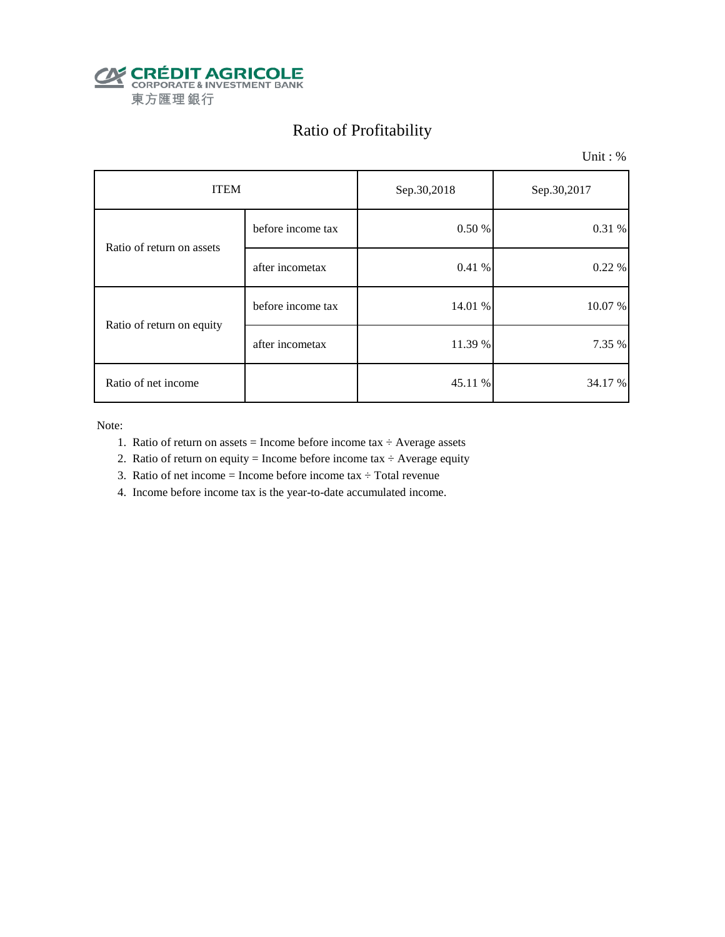

# Ratio of Profitability

Unit : %

| <b>ITEM</b>               |                   | Sep.30,2018 | Sep.30,2017 |  |
|---------------------------|-------------------|-------------|-------------|--|
| Ratio of return on assets | before income tax | 0.50 %      | 0.31 %      |  |
|                           | after incometax   | 0.41 %      | 0.22%       |  |
| Ratio of return on equity | before income tax | 14.01 %     | 10.07 %     |  |
|                           | after incometax   | 11.39 %     | 7.35 %      |  |
| Ratio of net income       |                   | 45.11 %     | 34.17 %     |  |

Note:

- 1. Ratio of return on assets = Income before income tax  $\div$  Average assets
- 2. Ratio of return on equity = Income before income tax  $\div$  Average equity
- 3. Ratio of net income = Income before income tax  $\div$  Total revenue
- 4. Income before income tax is the year-to-date accumulated income.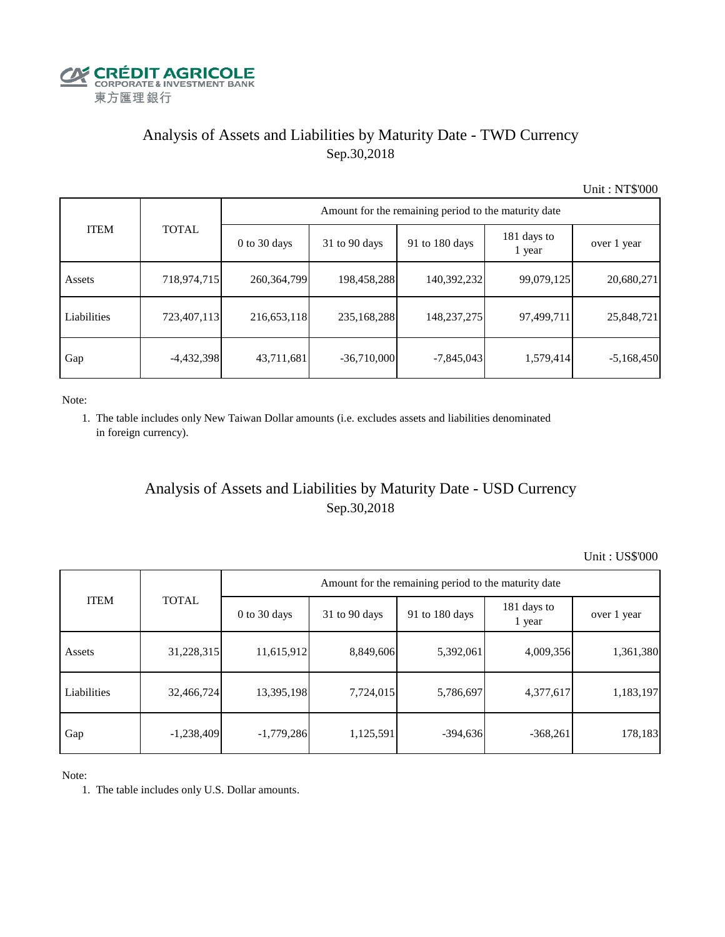

# Analysis of Assets and Liabilities by Maturity Date - TWD Currency Sep.30,2018

Unit : NT\$'000

|             | <b>TOTAL</b> | Amount for the remaining period to the maturity date |                 |                |                       |              |  |  |
|-------------|--------------|------------------------------------------------------|-----------------|----------------|-----------------------|--------------|--|--|
| <b>ITEM</b> |              | $0$ to 30 days                                       | $31$ to 90 days | 91 to 180 days | 181 days to<br>1 year | over 1 year  |  |  |
| Assets      | 718,974,715  | 260, 364, 799                                        | 198,458,288     | 140,392,232    | 99,079,125            | 20,680,271   |  |  |
| Liabilities | 723,407,113  | 216,653,118                                          | 235,168,288     | 148, 237, 275  | 97,499,711            | 25,848,721   |  |  |
| Gap         | $-4,432,398$ | 43,711,681                                           | $-36,710,000$   | $-7,845,043$   | 1,579,414             | $-5,168,450$ |  |  |

Note:

 1. The table includes only New Taiwan Dollar amounts (i.e. excludes assets and liabilities denominated in foreign currency).

## Analysis of Assets and Liabilities by Maturity Date - USD Currency Sep.30,2018

Unit : US\$'000

|             |              | Amount for the remaining period to the maturity date |                 |                |                       |             |  |  |
|-------------|--------------|------------------------------------------------------|-----------------|----------------|-----------------------|-------------|--|--|
| <b>ITEM</b> | <b>TOTAL</b> | $0$ to 30 days                                       | $31$ to 90 days | 91 to 180 days | 181 days to<br>1 year | over 1 year |  |  |
| Assets      | 31,228,315   | 11,615,912                                           | 8,849,606       | 5,392,061      | 4,009,356             | 1,361,380   |  |  |
| Liabilities | 32,466,724   | 13,395,198                                           | 7,724,015       | 5,786,697      | 4,377,617             | 1,183,197   |  |  |
| Gap         | $-1,238,409$ | $-1,779,286$                                         | 1,125,591       | $-394,636$     | $-368,261$            | 178,183     |  |  |

Note:

1. The table includes only U.S. Dollar amounts.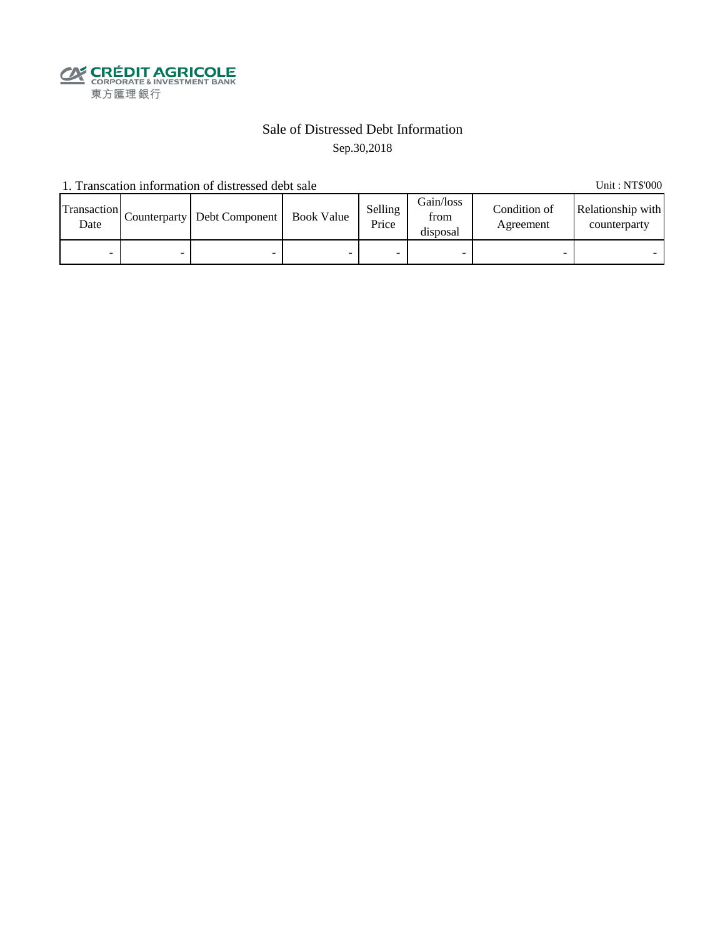

## Sale of Distressed Debt Information Sep.30,2018

1. Transcation information of distressed debt sale Unit: NT\$'000

| Transaction<br>Date | Counterparty   Debt Component | <b>Book Value</b> | Selling<br>Price | Gain/loss<br>from<br>disposal | Condition of<br>Agreement | Relationship with<br>counterparty |
|---------------------|-------------------------------|-------------------|------------------|-------------------------------|---------------------------|-----------------------------------|
| -                   | -                             |                   |                  |                               |                           |                                   |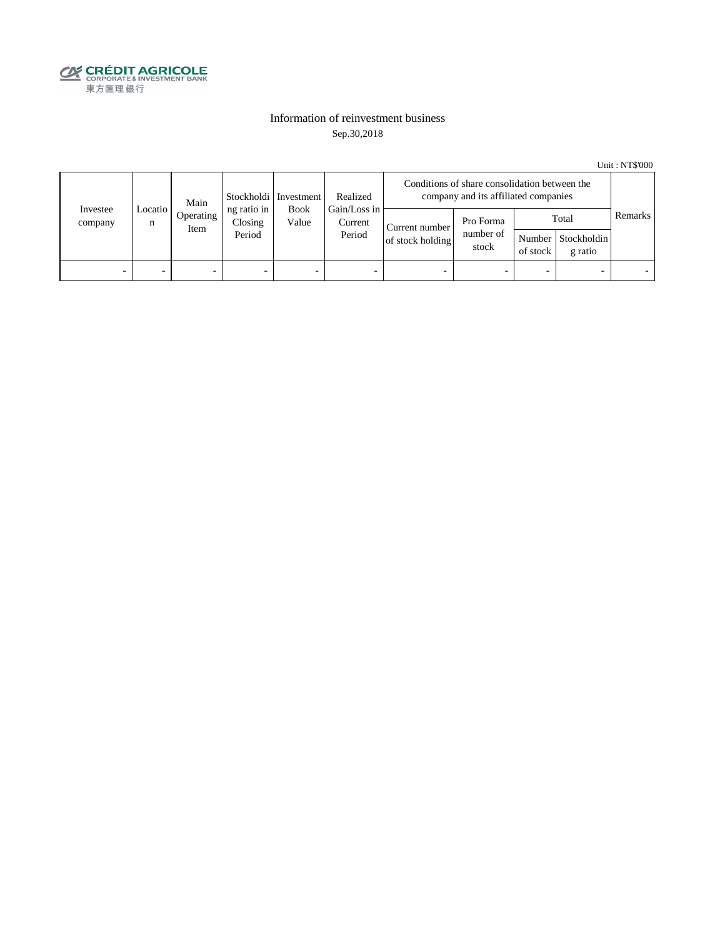

### Information of reinvestment business Sep.30,2018

Unit : NT\$'000

|                     | Main           |                   | Stockholdi   Investment<br>Realized |                      | Conditions of share consolidation between the<br>company and its affiliated companies |                                    |                                 |                          |                                        |         |
|---------------------|----------------|-------------------|-------------------------------------|----------------------|---------------------------------------------------------------------------------------|------------------------------------|---------------------------------|--------------------------|----------------------------------------|---------|
| Investee<br>company | Locatio  <br>n | Operating<br>Item | ng ratio in<br>Closing<br>Period    | <b>Book</b><br>Value | Gain/Loss in<br>Current<br>Period                                                     | Current number<br>of stock holding | Pro Forma<br>number of<br>stock | of stock                 | Total<br>Number Stockholdin<br>g ratio | Remarks |
| -                   |                | -                 | $\overline{\phantom{0}}$            | -                    | $\overline{\phantom{a}}$                                                              | -                                  |                                 | $\overline{\phantom{0}}$ |                                        |         |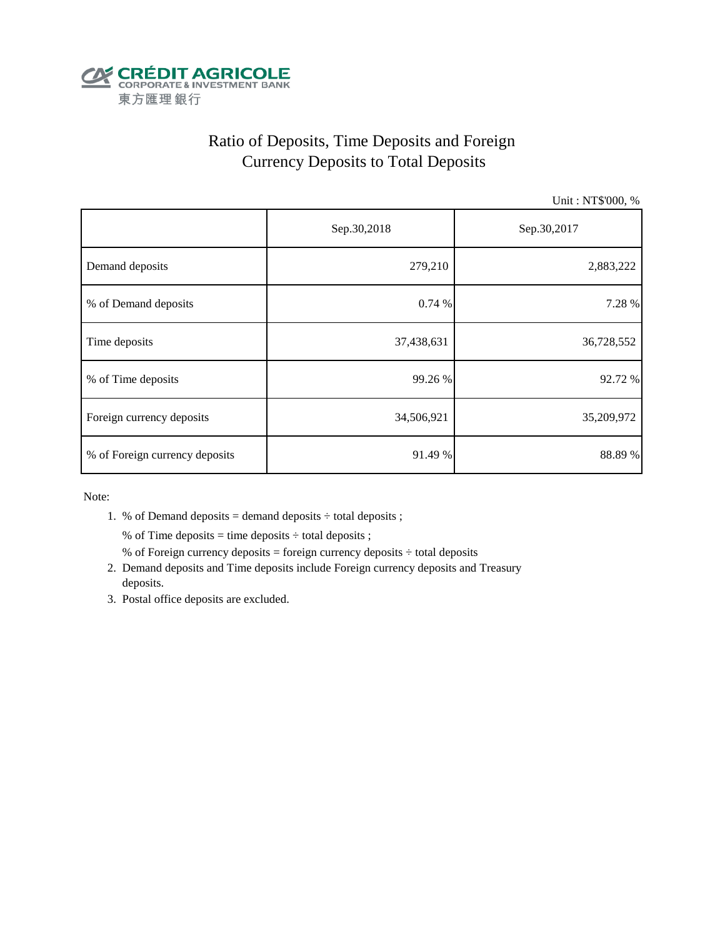

# Ratio of Deposits, Time Deposits and Foreign Currency Deposits to Total Deposits

Unit : NT\$'000, %

|                                | Sep.30,2018 | Sep.30,2017 |
|--------------------------------|-------------|-------------|
| Demand deposits                | 279,210     | 2,883,222   |
| % of Demand deposits           | 0.74%       | 7.28 %      |
| Time deposits                  | 37,438,631  | 36,728,552  |
| % of Time deposits             | 99.26 %     | 92.72 %     |
| Foreign currency deposits      | 34,506,921  | 35,209,972  |
| % of Foreign currency deposits | 91.49 %     | 88.89%      |

Note:

1. % of Demand deposits = demand deposits  $\div$  total deposits ;

% of Time deposits = time deposits  $\div$  total deposits ;

- % of Foreign currency deposits = foreign currency deposits  $\div$  total deposits
- 2. Demand deposits and Time deposits include Foreign currency deposits and Treasury deposits.
- 3. Postal office deposits are excluded.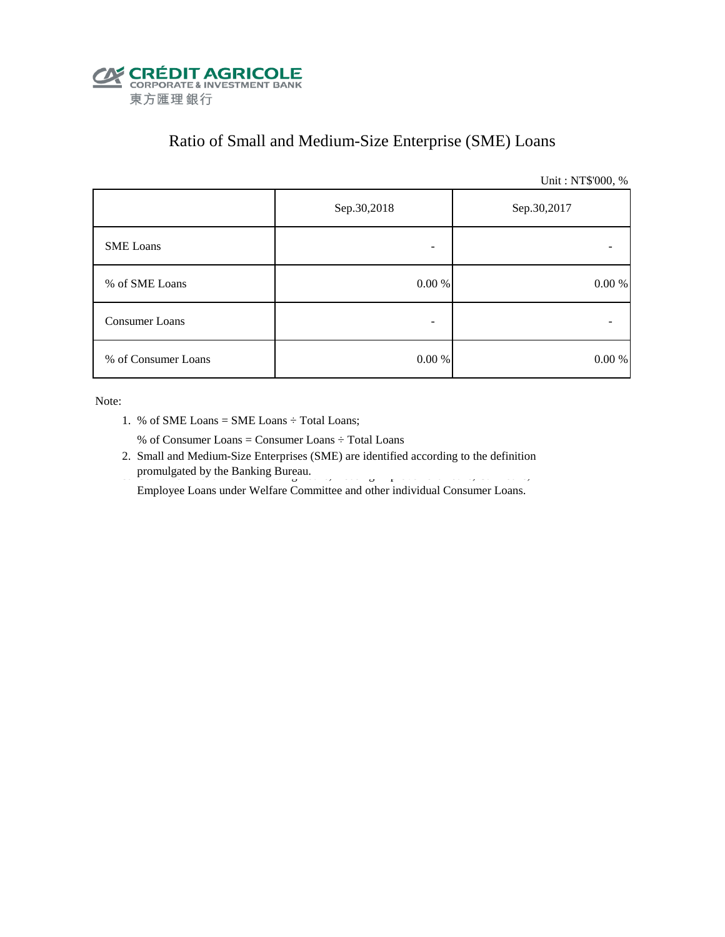

# Ratio of Small and Medium-Size Enterprise (SME) Loans

Unit : NT\$'000, %

|                     | Sep.30,2018 | Sep.30,2017 |
|---------------------|-------------|-------------|
| <b>SME</b> Loans    | -           |             |
| % of SME Loans      | $0.00\ \%$  | $0.00\ \%$  |
| Consumer Loans      | -           |             |
| % of Consumer Loans | $0.00\ \%$  | 0.00 %      |

Note:

1. % of SME Loans = SME Loans ÷ Total Loans;

% of Consumer Loans = Consumer Loans ÷ Total Loans

 2. Small and Medium-Size Enterprises (SME) are identified according to the definition promulgated by the Banking Bureau.

Employee Loans under Welfare Committee and other individual Consumer Loans.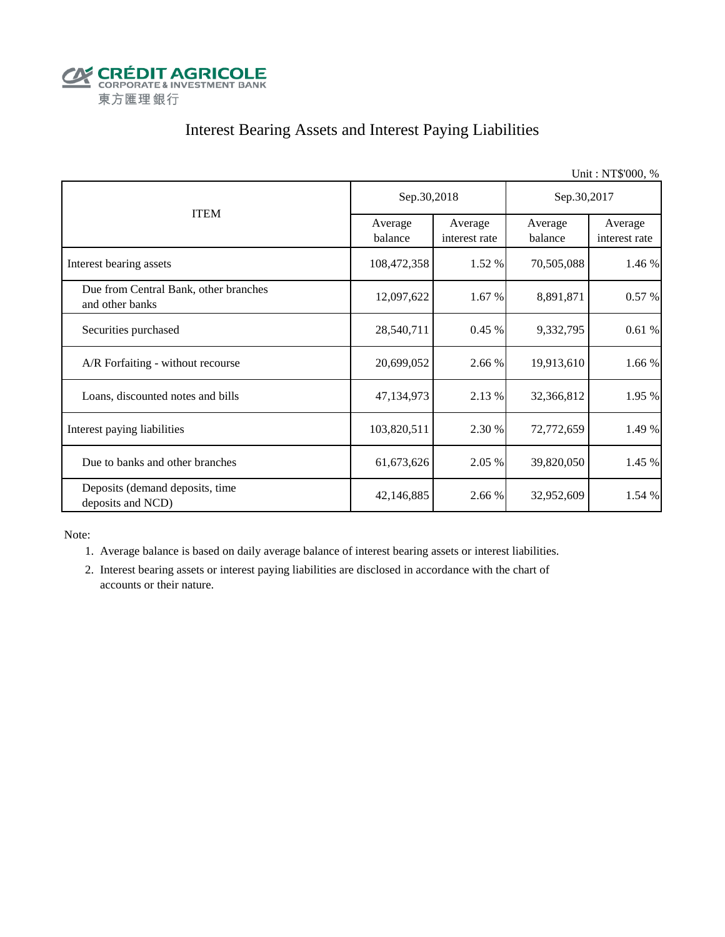

# Interest Bearing Assets and Interest Paying Liabilities

|                                                          |                    |                          |                    | Unit: NT\$'000, %        |  |
|----------------------------------------------------------|--------------------|--------------------------|--------------------|--------------------------|--|
| <b>ITEM</b>                                              | Sep.30,2018        |                          | Sep.30,2017        |                          |  |
|                                                          | Average<br>balance | Average<br>interest rate | Average<br>balance | Average<br>interest rate |  |
| Interest bearing assets                                  | 108,472,358        | 1.52 %                   | 70,505,088         | 1.46 %                   |  |
| Due from Central Bank, other branches<br>and other banks | 12,097,622         | 1.67 %                   | 8,891,871          | 0.57%                    |  |
| Securities purchased                                     | 28,540,711         | 0.45%                    | 9,332,795          | 0.61%                    |  |
| A/R Forfaiting - without recourse                        | 20,699,052         | 2.66 %                   | 19,913,610         | 1.66 %                   |  |
| Loans, discounted notes and bills                        | 47,134,973         | 2.13 %                   | 32,366,812         | 1.95 %                   |  |
| Interest paying liabilities                              | 103,820,511        | 2.30 %                   | 72,772,659         | 1.49 %                   |  |
| Due to banks and other branches                          | 61,673,626         | 2.05 %                   | 39,820,050         | 1.45 %                   |  |
| Deposits (demand deposits, time<br>deposits and NCD)     | 42,146,885         | 2.66 %                   | 32,952,609         | 1.54 %                   |  |

Note:

1. Average balance is based on daily average balance of interest bearing assets or interest liabilities.

 2. Interest bearing assets or interest paying liabilities are disclosed in accordance with the chart of accounts or their nature.